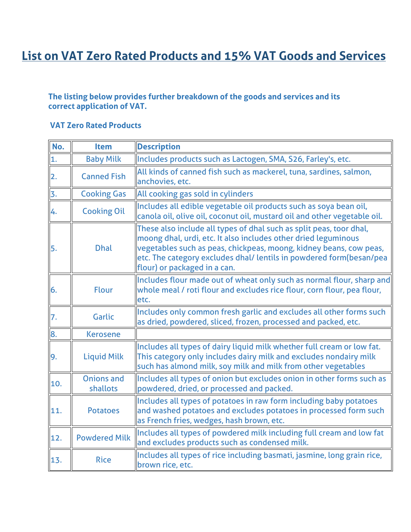## **List on VAT Zero Rated Products and 15% VAT Goods and Services**

## **The listing below provides further breakdown of the goods and services and its correct application of VAT.**

## **VAT Zero Rated Products**

| No.              | <b>Item</b>                   | <b>Description</b>                                                                                                                                                                                                                                                                                                 |
|------------------|-------------------------------|--------------------------------------------------------------------------------------------------------------------------------------------------------------------------------------------------------------------------------------------------------------------------------------------------------------------|
| $\overline{1}$ . | <b>Baby Milk</b>              | Includes products such as Lactogen, SMA, S26, Farley's, etc.                                                                                                                                                                                                                                                       |
| $\overline{2}$ . | <b>Canned Fish</b>            | All kinds of canned fish such as mackerel, tuna, sardines, salmon,<br>anchovies, etc.                                                                                                                                                                                                                              |
| 3.               | <b>Cooking Gas</b>            | All cooking gas sold in cylinders                                                                                                                                                                                                                                                                                  |
| 4.               | <b>Cooking Oil</b>            | Includes all edible vegetable oil products such as soya bean oil,<br>canola oil, olive oil, coconut oil, mustard oil and other vegetable oil.                                                                                                                                                                      |
| 5.               | <b>Dhal</b>                   | These also include all types of dhal such as split peas, toor dhal,<br>moong dhal, urdi, etc. It also includes other dried leguminous<br>vegetables such as peas, chickpeas, moong, kidney beans, cow peas,<br>etc. The category excludes dhal/ lentils in powdered form(besan/pea<br>flour) or packaged in a can. |
| 6.               | <b>Flour</b>                  | Includes flour made out of wheat only such as normal flour, sharp and<br>whole meal / roti flour and excludes rice flour, corn flour, pea flour,<br>etc.                                                                                                                                                           |
| 7.               | Garlic                        | Includes only common fresh garlic and excludes all other forms such<br>as dried, powdered, sliced, frozen, processed and packed, etc.                                                                                                                                                                              |
| 8.               | <b>Kerosene</b>               |                                                                                                                                                                                                                                                                                                                    |
| 9.               | <b>Liquid Milk</b>            | Includes all types of dairy liquid milk whether full cream or low fat.<br>This category only includes dairy milk and excludes nondairy milk<br>such has almond milk, soy milk and milk from other vegetables                                                                                                       |
| 10.              | <b>Onions and</b><br>shallots | Includes all types of onion but excludes onion in other forms such as<br>powdered, dried, or processed and packed.                                                                                                                                                                                                 |
| 11.              | <b>Potatoes</b>               | Includes all types of potatoes in raw form including baby potatoes<br>and washed potatoes and excludes potatoes in processed form such<br>as French fries, wedges, hash brown, etc.                                                                                                                                |
| 12.              | <b>Powdered Milk</b>          | Includes all types of powdered milk including full cream and low fat<br>and excludes products such as condensed milk.                                                                                                                                                                                              |
| 13.              | <b>Rice</b>                   | Includes all types of rice including basmati, jasmine, long grain rice,<br>brown rice, etc.                                                                                                                                                                                                                        |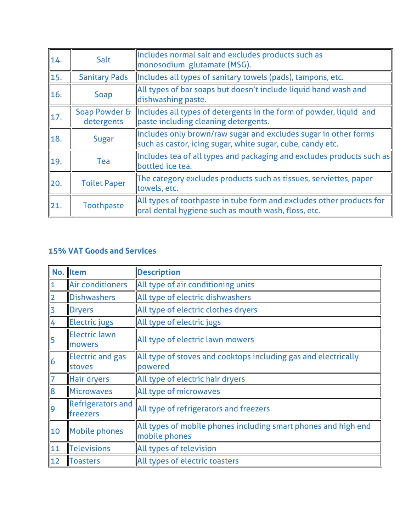| 14. | Salt                        | Includes normal salt and excludes products such as<br>monosodium glutamate (MSG).                                             |
|-----|-----------------------------|-------------------------------------------------------------------------------------------------------------------------------|
| 15. | <b>Sanitary Pads</b>        | Includes all types of sanitary towels (pads), tampons, etc.                                                                   |
| 16. | <b>Soap</b>                 | All types of bar soaps but doesn't include liquid hand wash and<br>dishwashing paste.                                         |
| 17. | Soap Powder &<br>detergents | Includes all types of detergents in the form of powder, liquid and<br>paste including cleaning detergents.                    |
| 18. | Sugar                       | Includes only brown/raw sugar and excludes sugar in other forms<br>such as castor, icing sugar, white sugar, cube, candy etc. |
| 19. | Tea                         | Includes tea of all types and packaging and excludes products such as<br>bottled ice tea.                                     |
| 20. | <b>Toilet Paper</b>         | The category excludes products such as tissues, serviettes, paper<br>towels, etc.                                             |
| 21. | <b>Toothpaste</b>           | All types of toothpaste in tube form and excludes other products for<br>oral dental hygiene such as mouth wash, floss, etc.   |

## **15% VAT Goods and Services**

|                         | No. Item                                 | <b>Description</b>                                                              |
|-------------------------|------------------------------------------|---------------------------------------------------------------------------------|
|                         | <b>Air conditioners</b>                  | All type of air conditioning units                                              |
| $\overline{\mathbf{2}}$ | <b>Dishwashers</b>                       | All type of electric dishwashers                                                |
| 3                       | <b>Dryers</b>                            | All type of electric clothes dryers                                             |
| 4                       | <b>Electric jugs</b>                     | All type of electric jugs                                                       |
| 5                       | <b>Electric lawn</b><br>mowers           | All type of electric lawn mowers                                                |
| 6                       | <b>Electric and gas</b><br><b>stoves</b> | All type of stoves and cooktops including gas and electrically<br>powered       |
| $\overline{7}$          | <b>Hair dryers</b>                       | All type of electric hair dryers                                                |
| 8                       | <b>Microwaves</b>                        | All type of microwaves                                                          |
| 9                       | <b>Refrigerators and</b><br>freezers     | All type of refrigerators and freezers                                          |
| 10                      | <b>Mobile phones</b>                     | All types of mobile phones including smart phones and high end<br>mobile phones |
| 11                      | Televisions                              | All types of television                                                         |
| 12                      | <b>Toasters</b>                          | All types of electric toasters                                                  |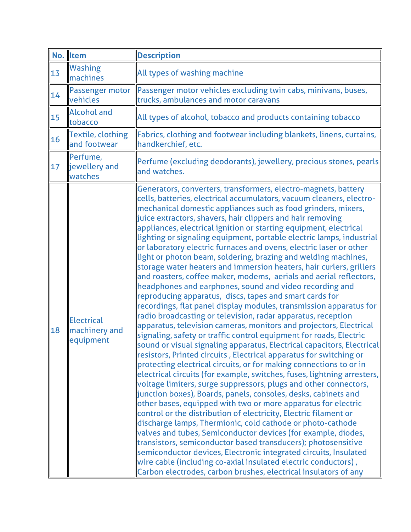|    | No. Item                                        | <b>Description</b>                                                                                                                                                                                                                                                                                                                                                                                                                                                                                                                                                                                                                                                                                                                                                                                                                                                                                                                                                                                                                                                                                                                                                                                                                                                                                                                                                                                                                                                                                                                                                                                                                                                                                                                                                                                                                                                                                                                                                                                                                                                                                   |
|----|-------------------------------------------------|------------------------------------------------------------------------------------------------------------------------------------------------------------------------------------------------------------------------------------------------------------------------------------------------------------------------------------------------------------------------------------------------------------------------------------------------------------------------------------------------------------------------------------------------------------------------------------------------------------------------------------------------------------------------------------------------------------------------------------------------------------------------------------------------------------------------------------------------------------------------------------------------------------------------------------------------------------------------------------------------------------------------------------------------------------------------------------------------------------------------------------------------------------------------------------------------------------------------------------------------------------------------------------------------------------------------------------------------------------------------------------------------------------------------------------------------------------------------------------------------------------------------------------------------------------------------------------------------------------------------------------------------------------------------------------------------------------------------------------------------------------------------------------------------------------------------------------------------------------------------------------------------------------------------------------------------------------------------------------------------------------------------------------------------------------------------------------------------------|
| 13 | <b>Washing</b><br>machines                      | All types of washing machine                                                                                                                                                                                                                                                                                                                                                                                                                                                                                                                                                                                                                                                                                                                                                                                                                                                                                                                                                                                                                                                                                                                                                                                                                                                                                                                                                                                                                                                                                                                                                                                                                                                                                                                                                                                                                                                                                                                                                                                                                                                                         |
| 14 | Passenger motor<br>vehicles                     | Passenger motor vehicles excluding twin cabs, minivans, buses,<br>trucks, ambulances and motor caravans                                                                                                                                                                                                                                                                                                                                                                                                                                                                                                                                                                                                                                                                                                                                                                                                                                                                                                                                                                                                                                                                                                                                                                                                                                                                                                                                                                                                                                                                                                                                                                                                                                                                                                                                                                                                                                                                                                                                                                                              |
| 15 | <b>Alcohol and</b><br>tobacco                   | All types of alcohol, tobacco and products containing tobacco                                                                                                                                                                                                                                                                                                                                                                                                                                                                                                                                                                                                                                                                                                                                                                                                                                                                                                                                                                                                                                                                                                                                                                                                                                                                                                                                                                                                                                                                                                                                                                                                                                                                                                                                                                                                                                                                                                                                                                                                                                        |
| 16 | <b>Textile, clothing</b><br>and footwear        | Fabrics, clothing and footwear including blankets, linens, curtains,<br>handkerchief, etc.                                                                                                                                                                                                                                                                                                                                                                                                                                                                                                                                                                                                                                                                                                                                                                                                                                                                                                                                                                                                                                                                                                                                                                                                                                                                                                                                                                                                                                                                                                                                                                                                                                                                                                                                                                                                                                                                                                                                                                                                           |
| 17 | Perfume,<br>jewellery and<br>watches            | Perfume (excluding deodorants), jewellery, precious stones, pearls<br>and watches.                                                                                                                                                                                                                                                                                                                                                                                                                                                                                                                                                                                                                                                                                                                                                                                                                                                                                                                                                                                                                                                                                                                                                                                                                                                                                                                                                                                                                                                                                                                                                                                                                                                                                                                                                                                                                                                                                                                                                                                                                   |
| 18 | <b>Electrical</b><br>machinery and<br>equipment | Generators, converters, transformers, electro-magnets, battery<br>cells, batteries, electrical accumulators, vacuum cleaners, electro-<br>mechanical domestic appliances such as food grinders, mixers,<br>juice extractors, shavers, hair clippers and hair removing<br>appliances, electrical ignition or starting equipment, electrical<br>lighting or signaling equipment, portable electric lamps, industrial<br>or laboratory electric furnaces and ovens, electric laser or other<br>light or photon beam, soldering, brazing and welding machines,<br>storage water heaters and immersion heaters, hair curlers, grillers<br>and roasters, coffee maker, modems, aerials and aerial reflectors,<br>headphones and earphones, sound and video recording and<br>reproducing apparatus, discs, tapes and smart cards for<br>recordings, flat panel display modules, transmission apparatus for<br>radio broadcasting or television, radar apparatus, reception<br>apparatus, television cameras, monitors and projectors, Electrical<br>signaling, safety or traffic control equipment for roads, Electric<br>sound or visual signaling apparatus, Electrical capacitors, Electrical<br>resistors, Printed circuits, Electrical apparatus for switching or<br>protecting electrical circuits, or for making connections to or in<br>electrical circuits (for example, switches, fuses, lightning arresters,<br>voltage limiters, surge suppressors, plugs and other connectors,<br>junction boxes), Boards, panels, consoles, desks, cabinets and<br>other bases, equipped with two or more apparatus for electric<br>control or the distribution of electricity, Electric filament or<br>discharge lamps, Thermionic, cold cathode or photo-cathode<br>valves and tubes, Semiconductor devices (for example, diodes,<br>transistors, semiconductor based transducers); photosensitive<br>semiconductor devices, Electronic integrated circuits, Insulated<br>wire cable (including co-axial insulated electric conductors),<br>Carbon electrodes, carbon brushes, electrical insulators of any |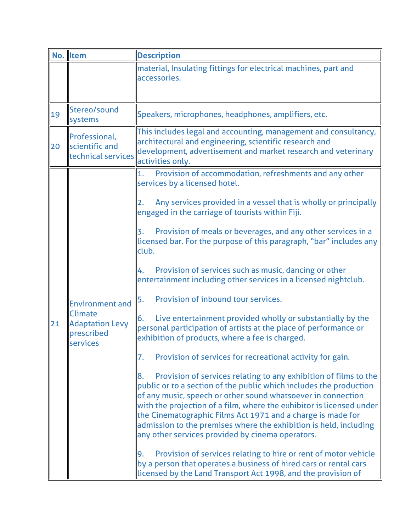|    | No. Item                                                                                            | <b>Description</b>                                                                                                                                                                                                                                                                                                                                                                                                                                                           |
|----|-----------------------------------------------------------------------------------------------------|------------------------------------------------------------------------------------------------------------------------------------------------------------------------------------------------------------------------------------------------------------------------------------------------------------------------------------------------------------------------------------------------------------------------------------------------------------------------------|
|    |                                                                                                     | material, Insulating fittings for electrical machines, part and<br>accessories.                                                                                                                                                                                                                                                                                                                                                                                              |
| 19 | Stereo/sound<br>systems                                                                             | Speakers, microphones, headphones, amplifiers, etc.                                                                                                                                                                                                                                                                                                                                                                                                                          |
| 20 | Professional,<br>scientific and<br>technical services                                               | This includes legal and accounting, management and consultancy,<br>architectural and engineering, scientific research and<br>development, advertisement and market research and veterinary<br>activities only.                                                                                                                                                                                                                                                               |
|    | <b>Environment and</b><br><b>Climate</b><br><b>Adaptation Levy</b><br>prescribed<br><b>services</b> | Provision of accommodation, refreshments and any other<br>1.<br>services by a licensed hotel.                                                                                                                                                                                                                                                                                                                                                                                |
|    |                                                                                                     | Any services provided in a vessel that is wholly or principally<br>engaged in the carriage of tourists within Fiji.                                                                                                                                                                                                                                                                                                                                                          |
|    |                                                                                                     | Provision of meals or beverages, and any other services in a<br>licensed bar. For the purpose of this paragraph, "bar" includes any<br>club.                                                                                                                                                                                                                                                                                                                                 |
|    |                                                                                                     | Provision of services such as music, dancing or other<br>entertainment including other services in a licensed nightclub.                                                                                                                                                                                                                                                                                                                                                     |
|    |                                                                                                     | Provision of inbound tour services.<br>5.                                                                                                                                                                                                                                                                                                                                                                                                                                    |
| 21 |                                                                                                     | Live entertainment provided wholly or substantially by the<br>6.<br>personal participation of artists at the place of performance or<br>exhibition of products, where a fee is charged.                                                                                                                                                                                                                                                                                      |
|    |                                                                                                     | Provision of services for recreational activity for gain.<br>7.                                                                                                                                                                                                                                                                                                                                                                                                              |
|    |                                                                                                     | Provision of services relating to any exhibition of films to the<br>8.<br>public or to a section of the public which includes the production<br>of any music, speech or other sound whatsoever in connection<br>with the projection of a film, where the exhibitor is licensed under<br>the Cinematographic Films Act 1971 and a charge is made for<br>admission to the premises where the exhibition is held, including<br>any other services provided by cinema operators. |
|    |                                                                                                     | Provision of services relating to hire or rent of motor vehicle<br>9.<br>by a person that operates a business of hired cars or rental cars<br>licensed by the Land Transport Act 1998, and the provision of                                                                                                                                                                                                                                                                  |